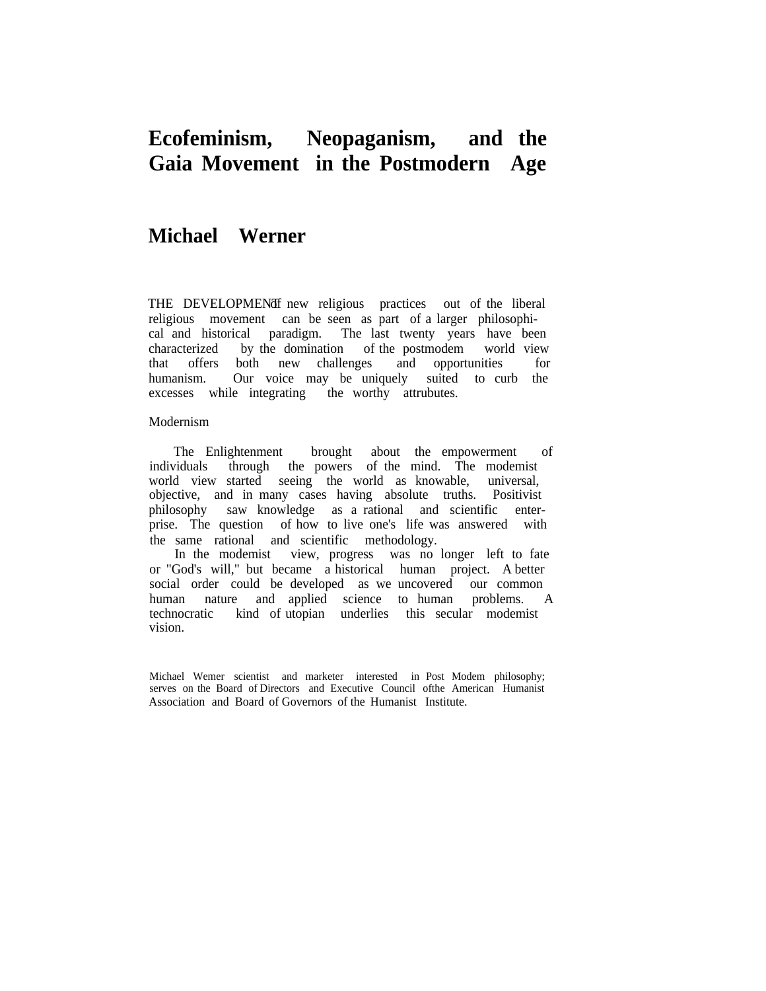# **Ecofeminism, Neopaganism, and the Gaia Movement in the Postmodern Age**

## **Michael Werner**

THE DEVELOPMENd fnew religious practices out of the liberal religious movement can be seen as part of a larger philosophical and historical paradigm. The last twenty years have been characterized by the domination of the postmodem world view that offers both new challenges and opportunities for humanism. Our voice may be uniquely suited to curb the excesses while integrating the worthy attrubutes.

#### Modernism

The Enlightenment brought about the empowerment of individuals through the powers of the mind. The modemist world view started seeing the world as knowable, universal, objective, and in many cases having absolute truths. Positivist philosophy saw knowledge as a rational and scientific enterprise. The question of how to live one's life was answered with the same rational and scientific methodology.

In the modemist view, progress was no longer left to fate or "God's will," but became a historical human project. A better social order could be developed as we uncovered our common human nature and applied science to human problems. A technocratic kind of utopian underlies this secular modemist vision.

Michael Wemer scientist and marketer interested in Post Modem philosophy; serves on the Board of Directors and Executive Council ofthe American Humanist Association and Board of Governors of the Humanist Institute.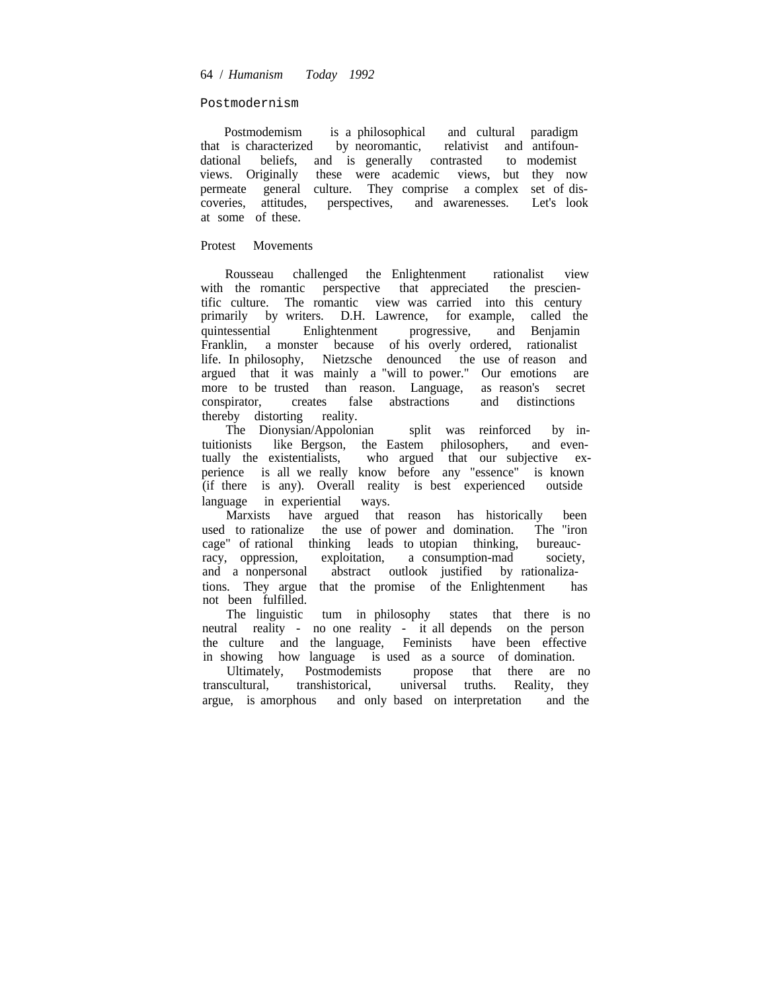### Postmodernism

Postmodemism is a philosophical and cultural paradigm that is characterized by neoromantic, relativist and antifoundulational beliefs, and is generally contrasted to modemist dational beliefs, and is generally contrasted views. Originally these were academic views, but they now permeate general culture. They comprise a complex set of discoveries, attitudes, perspectives, and awarenesses. Let's look at some of these.

### Protest Movements

Rousseau challenged the Enlightenment rationalist view with the romantic perspective that appreciated the prescientific culture. The romantic view was carried into this century primarily by writers. D.H. Lawrence, for example, called the quintessential Enlightenment progressive, and Benjamin Franklin, a monster because of his overly ordered, rationalist life. In philosophy, Nietzsche denounced the use of reason and argued that it was mainly a "will to power." Our emotions are more to be trusted than reason. Language, as reason's secret conspirator, creates false abstractions and distinctions conspirator, creates false abstractions thereby distorting reality.

The Dionysian/Appolonian split was reinforced by intuitionists like Bergson, the Eastem philosophers, and eventually the existentialists, who argued that our subjective experience is all we really know before any "essence" is known (if there is any). Overall reality is best experienced outside language in experiential ways.

Marxists have argued that reason has historically been used to rationalize the use of power and domination. The "iron cage" of rational thinking leads to utopian thinking, bureauc-<br>racy, oppression, exploitation, a consumption-mad society, racy, oppression, exploitation, a consumption-mad society, and a nonpersonal abstract outlook justified by rationalizations. They argue that the promise of the Enlightenment has not been fulfilled.

The linguistic tum in philosophy states that there is no neutral reality - no one reality - it all depends on the person the culture and the language, Feminists have been effective in showing how language is used as a source of domination.

Ultimately, Postmodemists propose that there are no transcultural, transhistorical, universal truths. Reality, they argue, is amorphous and only based on interpretation and the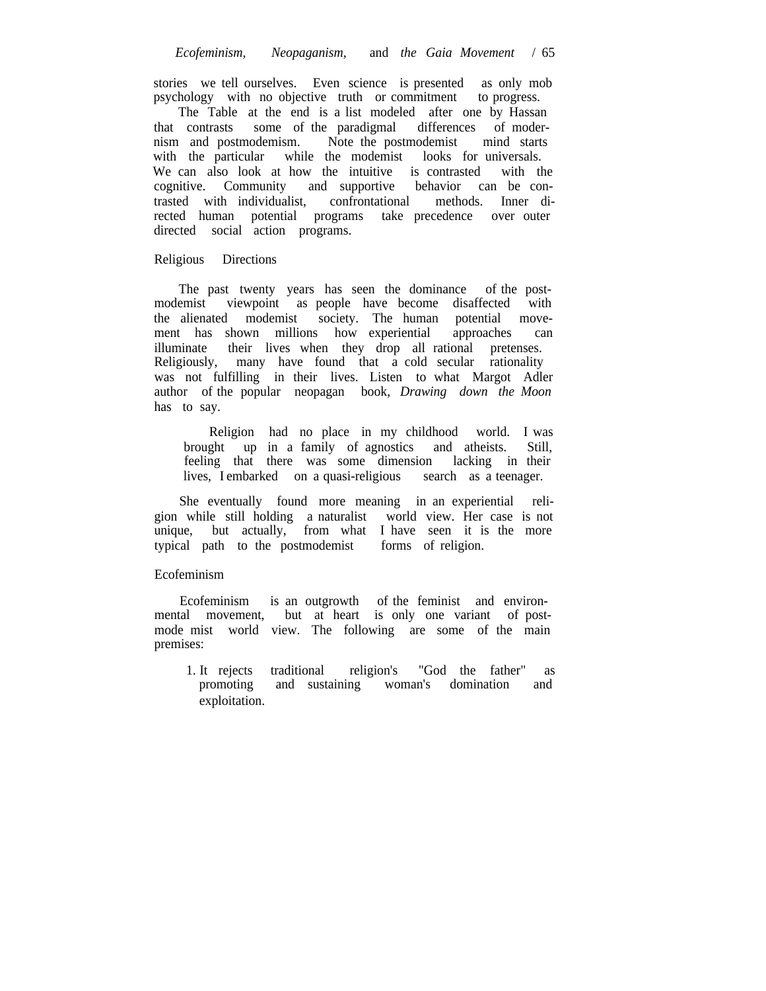stories we tell ourselves. Even science is presented as only mob psychology with no objective truth or commitment to progress.

The Table at the end is a list modeled after one by Hassan that contrasts some of the paradigmal differences of modernism and postmodemism. Note the postmodemist mind starts with the particular while the modemist looks for universals. We can also look at how the intuitive is contrasted with the cognitive. Community and supportive behavior can be contrasted with individualist, confrontational methods. Inner directed human potential programs take precedence over outer directed social action programs.

## Religious Directions

The past twenty years has seen the dominance of the postmodemist viewpoint as people have become disaffected with the alienated modemist society. The human potential move-<br>ment has shown millions how experiential approaches can ment has shown millions how experiential approaches can illuminate their lives when they drop all rational pretenses. Religiously, many have found that a cold secular rationality was not fulfilling in their lives. Listen to what Margot Adler author of the popular neopagan book, *Drawing down the Moon* has to say.

Religion had no place in my childhood world. I was brought up in a family of agnostics and atheists. Still, feeling that there was some dimension lacking in their lives, I embarked on a quasi-religious search as a teenager.

She eventually found more meaning in an experiential religion while still holding a naturalist world view. Her case is not unique, but actually, from what I have seen it is the more typical path to the postmodemist forms of religion.

#### Ecofeminism

Ecofeminism is an outgrowth of the feminist and environmental movement, but at heart is only one variant of postmode mist world view. The following are some of the main premises:

1. It rejects traditional religion's "God the father" as promoting and sustaining woman's domination and exploitation.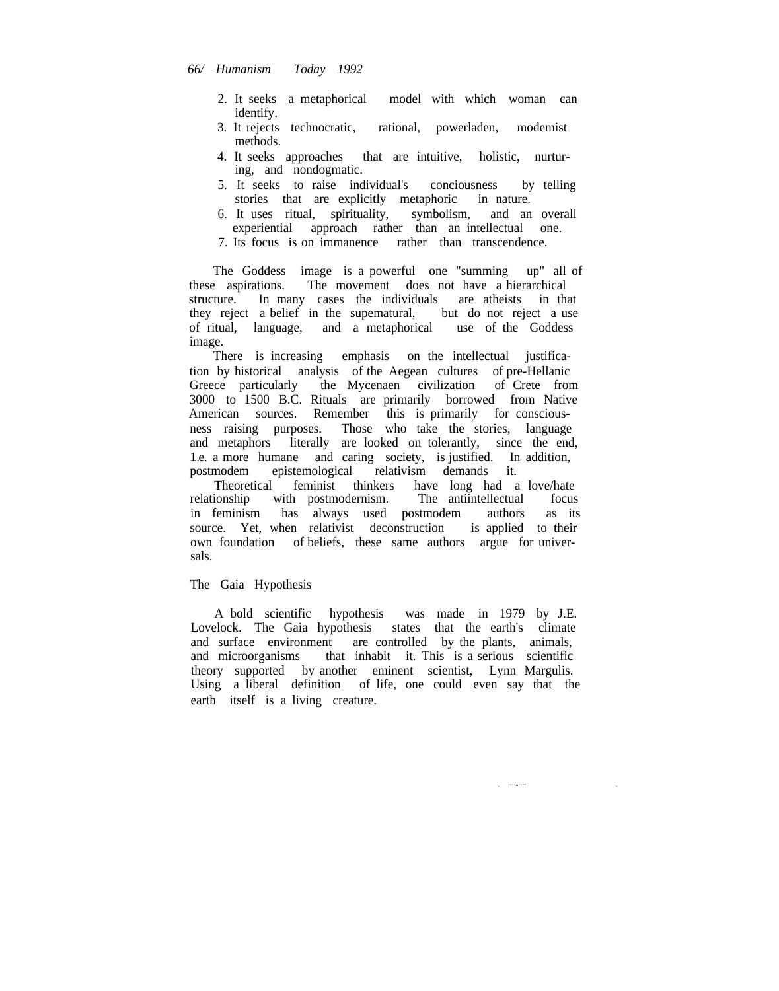- 2. It seeks a metaphorical model with which woman can identify.
- 3. It rejects technocratic, rational, powerladen, modemist methods.
- 4. It seeks approaches that are intuitive, holistic, nurturing, and nondogmatic.
- 5. It seeks to raise individual's conciousness by telling stories that are explicitly metaphoric in nature.
- 6. It uses ritual, spirituality, symbolism, and an overall experiential approach rather than an intellectual one.
- 7. Its focus is on immanence rather than transcendence.

The Goddess image is a powerful one "summing up" all of these aspirations. The movement does not have a hierarchical structure. In many cases the individuals are atheists in that they reject a belief in the supermatural, but do not reject a use they reject a belief in the supematural, of ritual, language, and a metaphorical use of the Goddess image.

There is increasing emphasis on the intellectual justification by historical analysis of the Aegean cultures of pre-Hellanic Greece particularly the Mycenaen civilization of Crete from 3000 to 1500 B.C. Rituals are primarily borrowed from Native American sources. Remember this is primarily for consciousness raising purposes. Those who take the stories, language and metaphors literally are looked on tolerantly, since the end, 1.e. a more humane and caring society, is justified. In addition, postmodem epistemological relativism demands it.

Theoretical feminist thinkers have long had a love/hate relationship with postmodernism. The antiintellectual focus in feminism has always used postmodem authors as its source. Yet, when relativist deconstruction is applied to their own foundation of beliefs, these same authors argue for universals.

## The Gaia Hypothesis

A bold scientific hypothesis was made in 1979 by J.E. Lovelock. The Gaia hypothesis states that the earth's climate and surface environment are controlled by the plants, animals, and microorganisms that inhabit it. This is a serious scientific theory supported by another eminent scientist, Lynn Margulis. Using a liberal definition of life, one could even say that the earth itself is a living creature.

> - ----..----

-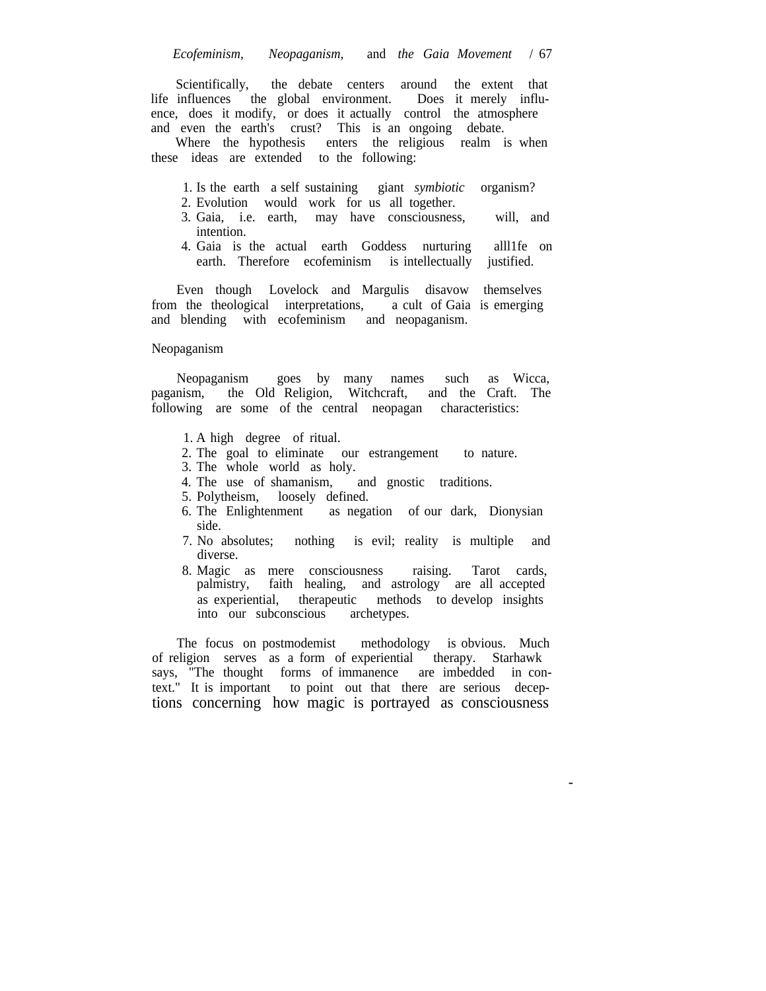Scientifically, the debate centers around the extent that life influences the global environment. Does it merely influence, does it modify, or does it actually control the atmosphere and even the earth's crust? This is an ongoing debate.

Where the hypothesis enters the religious realm is when these ideas are extended to the following:

- 1. Is the earth a self sustaining giant *symbiotic* organism?
- 2. Evolution would work for us all together.
- 3. Gaia, i.e. earth, may have consciousness, will, and intention.
- 4. Gaia is the actual earth Goddess nurturing alll1fe on earth. Therefore ecofeminism is intellectually justified.

Even though Lovelock and Margulis disavow themselves from the theological interpretations, a cult of Gaia is emerging and blending with ecofeminism and neopaganism.

#### Neopaganism

Neopaganism goes by many names such as Wicca, mism, the Old Religion, Witchcraft, and the Craft. The paganism, the Old Religion, Witchcraft, following are some of the central neopagan characteristics:

- 1. A high degree of ritual.
- 2. The goal to eliminate our estrangement to nature.
- 3. The whole world as holy.<br>4. The use of shamanism,
- and gnostic traditions.
- 5. Polytheism, loosely defined.
- 6. The Enlightenment as negation of our dark, Dionysian side.
- 7. No absolutes; nothing is evil; reality is multiple and diverse.
- 8. Magic as mere consciousness raising. Tarot cards, palmistry, faith healing, and astrology are all accepted as experiential, therapeutic methods to develop insights into our subconscious

The focus on postmodemist methodology is obvious. Much of religion serves as a form of experiential therapy. Starhawk says, "The thought forms of immanence are imbedded in context." It is important to point out that there are serious deceptions concerning how magic is portrayed as consciousness

-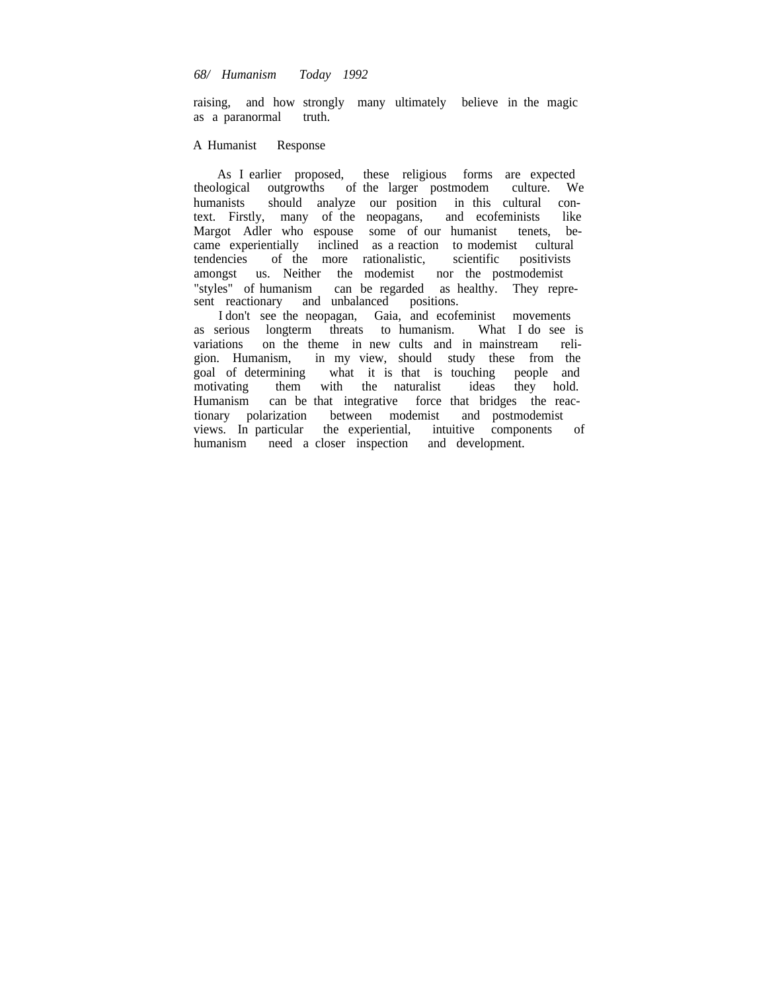## *68/ Humanism Today 1992*

raising, and how strongly many ultimately believe in the magic as a paranormal truth.

#### A Humanist Response

As I earlier proposed, these religious forms are expected theological outgrowths of the larger postmodem culture. We of the larger postmodem humanists should analyze our position in this cultural context. Firstly, many of the neopagans, and ecofeminists like<br>Margot Adler who espouse some of our humanist tenets, be-Margot Adler who espouse some of our humanist tenets, became experientially inclined as a reaction to modemist cultural tendencies of the more rationalistic, scientific positivists amongst us. Neither the modemist nor the postmodemist "styles" of humanism can be regarded as healthy. They represent reactionary and unbalanced positions.

I don't see the neopagan, Gaia, and ecofeminist movements as serious longterm threats to humanism. What I do see is variations on the theme in new cults and in mainstream religion. Humanism, in my view, should study these from the goal of determining what it is that is touching people and motivating them with the naturalist Humanism can be that integrative force that bridges the reactionary polarization between modemist and postmodemist views. In particular the experiential, intuitive components of humanism need a closer inspection and development.